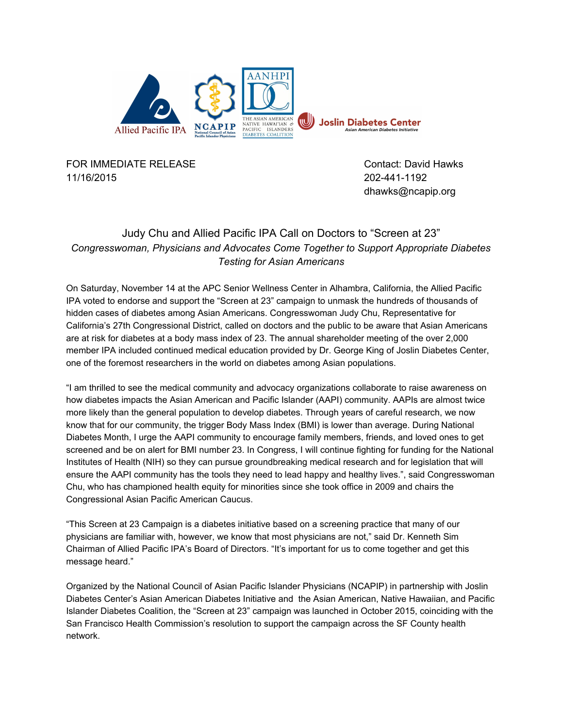

FOR IMMEDIATE RELEASE CONTACT CONTACT: David Hawks 11/16/2015 2024411192

dhawks@ncapip.org

## Judy Chu and Allied Pacific IPA Call on Doctors to "Screen at 23" *Congresswoman, Physicians and Advocates Come Together to Support Appropriate Diabetes Testing for Asian Americans*

On Saturday, November 14 at the APC Senior Wellness Center in Alhambra, California, the Allied Pacific IPA voted to endorse and support the "Screen at 23" campaign to unmask the hundreds of thousands of hidden cases of diabetes among Asian Americans. Congresswoman Judy Chu, Representative for California's 27th Congressional District, called on doctors and the public to be aware that Asian Americans are at risk for diabetes at a body mass index of 23. The annual shareholder meeting of the over 2,000 member IPA included continued medical education provided by Dr. George King of Joslin Diabetes Center, one of the foremost researchers in the world on diabetes among Asian populations.

"I am thrilled to see the medical community and advocacy organizations collaborate to raise awareness on how diabetes impacts the Asian American and Pacific Islander (AAPI) community. AAPIs are almost twice more likely than the general population to develop diabetes. Through years of careful research, we now know that for our community, the trigger Body Mass Index (BMI) is lower than average. During National Diabetes Month, I urge the AAPI community to encourage family members, friends, and loved ones to get screened and be on alert for BMI number 23. In Congress, I will continue fighting for funding for the National Institutes of Health (NIH) so they can pursue groundbreaking medical research and for legislation that will ensure the AAPI community has the tools they need to lead happy and healthy lives.", said Congresswoman Chu, who has championed health equity for minorities since she took office in 2009 and chairs the Congressional Asian Pacific American Caucus.

"This Screen at 23 Campaign is a diabetes initiative based on a screening practice that many of our physicians are familiar with, however, we know that most physicians are not," said Dr. Kenneth Sim Chairman of Allied Pacific IPA's Board of Directors. "It's important for us to come together and get this message heard."

Organized by the National Council of Asian Pacific Islander Physicians (NCAPIP) in partnership with Joslin Diabetes Center's Asian American Diabetes Initiative and the Asian American, Native Hawaiian, and Pacific Islander Diabetes Coalition, the "Screen at 23" campaign was launched in October 2015, coinciding with the San Francisco Health Commission's resolution to support the campaign across the SF County health network.